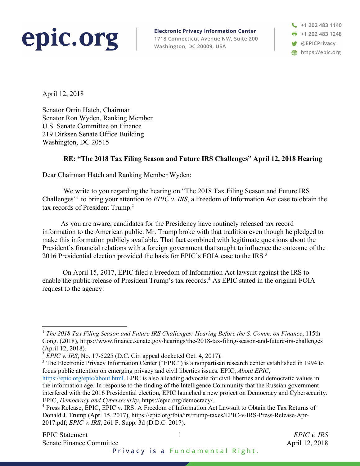

**Electronic Privacy Information Center** 1718 Connecticut Avenue NW, Suite 200 Washington, DC 20009, USA

+1 202 483 1140  $\frac{1}{2}$  +1 202 483 1248 **W** @EPICPrivacy https://epic.org

April 12, 2018

Senator Orrin Hatch, Chairman Senator Ron Wyden, Ranking Member U.S. Senate Committee on Finance 219 Dirksen Senate Office Building Washington, DC 20515

## **RE: "The 2018 Tax Filing Season and Future IRS Challenges" April 12, 2018 Hearing**

Dear Chairman Hatch and Ranking Member Wyden:

We write to you regarding the hearing on "The 2018 Tax Filing Season and Future IRS Challenges"1 to bring your attention to *EPIC v. IRS*, a Freedom of Information Act case to obtain the tax records of President Trump. 2

As you are aware, candidates for the Presidency have routinely released tax record information to the American public. Mr. Trump broke with that tradition even though he pledged to make this information publicly available. That fact combined with legitimate questions about the President's financial relations with a foreign government that sought to influence the outcome of the 2016 Presidential election provided the basis for EPIC's FOIA case to the IRS.<sup>3</sup>

On April 15, 2017, EPIC filed a Freedom of Information Act lawsuit against the IRS to enable the public release of President Trump's tax records. <sup>4</sup> As EPIC stated in the original FOIA request to the agency:

 <sup>1</sup> *The <sup>2018</sup> Tax Filing Season and Future IRS Challenges: Hearing Before the S. Comm. on Finance*, 115th Cong. (2018), https://www.finance.senate.gov/hearings/the-2018-tax-filing-season-and-future-irs-challenges (April 12, 2018).

<sup>2</sup> *EPIC v. IRS*, No. 17-5225 (D.C. Cir. appeal docketed Oct. 4, 2017).

<sup>&</sup>lt;sup>3</sup> The Electronic Privacy Information Center ("EPIC") is a nonpartisan research center established in 1994 to focus public attention on emerging privacy and civil liberties issues*.* EPIC, *About EPIC*,

https://epic.org/epic/about.html. EPIC is also a leading advocate for civil liberties and democratic values in the information age. In response to the finding of the Intelligence Community that the Russian government interfered with the 2016 Presidential election, EPIC launched a new project on Democracy and Cybersecurity. EPIC, *Democracy and Cybersecurity*, https://epic.org/democracy/.

<sup>4</sup> Press Release, EPIC, EPIC v. IRS: A Freedom of Information Act Lawsuit to Obtain the Tax Returns of Donald J. Trump (Apr. 15, 2017), https://epic.org/foia/irs/trump-taxes/EPIC-v-IRS-Press-Release-Apr-2017.pdf; *EPIC v. IRS*, 261 F. Supp. 3d (D.D.C. 2017).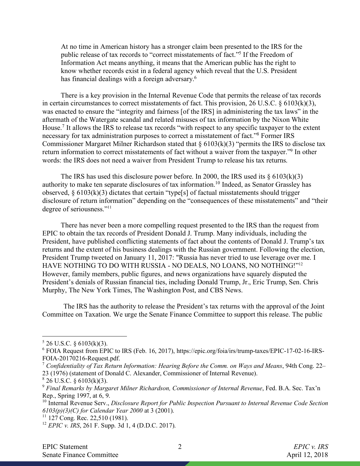At no time in American history has a stronger claim been presented to the IRS for the public release of tax records to "correct misstatements of fact."5 If the Freedom of Information Act means anything, it means that the American public has the right to know whether records exist in a federal agency which reveal that the U.S. President has financial dealings with a foreign adversary.<sup>6</sup>

There is a key provision in the Internal Revenue Code that permits the release of tax records in certain circumstances to correct misstatements of fact. This provision, 26 U.S.C. § 6103(k)(3), was enacted to ensure the "integrity and fairness [of the IRS] in administering the tax laws" in the aftermath of the Watergate scandal and related misuses of tax information by the Nixon White House.7 It allows the IRS to release tax records "with respect to any specific taxpayer to the extent necessary for tax administration purposes to correct a misstatement of fact."8 Former IRS Commissioner Margaret Milner Richardson stated that  $\S 6103(k)(3)$  "permits the IRS to disclose tax return information to correct misstatements of fact without a waiver from the taxpayer."9 In other words: the IRS does not need a waiver from President Trump to release his tax returns.

The IRS has used this disclosure power before. In 2000, the IRS used its  $\S 6103(k)(3)$ authority to make ten separate disclosures of tax information.10 Indeed, as Senator Grassley has observed,  $\S 6103(k)(3)$  dictates that certain "type[s] of factual misstatements should trigger disclosure of return information" depending on the "consequences of these misstatements" and "their degree of seriousness."11

There has never been a more compelling request presented to the IRS than the request from EPIC to obtain the tax records of President Donald J. Trump. Many individuals, including the President, have published conflicting statements of fact about the contents of Donald J. Trump's tax returns and the extent of his business dealings with the Russian government. Following the election, President Trump tweeted on January 11, 2017: "Russia has never tried to use leverage over me. I HAVE NOTHING TO DO WITH RUSSIA - NO DEALS, NO LOANS, NO NOTHING!"12 However, family members, public figures, and news organizations have squarely disputed the President's denials of Russian financial ties, including Donald Trump, Jr., Eric Trump, Sen. Chris Murphy, The New York Times, The Washington Post, and CBS News.

The IRS has the authority to release the President's tax returns with the approval of the Joint Committee on Taxation. We urge the Senate Finance Committee to support this release. The public

 $5$  26 U.S.C. § 6103(k)(3).

<sup>6</sup> FOIA Request from EPIC to IRS (Feb. 16, 2017), https://epic.org/foia/irs/trump-taxes/EPIC-17-02-16-IRS-FOIA-20170216-Request.pdf.

<sup>7</sup> *Confidentiality of Tax Return Information: Hearing Before the Comm. on Ways and Means*, 94th Cong. 22– 23 (1976) (statement of Donald C. Alexander, Commissioner of Internal Revenue).

 $826$  U.S.C. § 6103(k)(3).

<sup>9</sup> *Final Remarks by Margaret Milner Richardson, Commissioner of Internal Revenue*, Fed. B.A. Sec. Tax'n Rep., Spring 1997, at 6, 9.

<sup>10</sup> Internal Revenue Serv., *Disclosure Report for Public Inspection Pursuant to Internal Revenue Code Section 6103(p)(3)(C) for Calendar Year 2000* at 3 (2001).

<sup>&</sup>lt;sup>11</sup> 127 Cong. Rec. 22,510 (1981).

<sup>12</sup> *EPIC v. IRS*, 261 F. Supp. 3d 1, 4 (D.D.C. 2017).